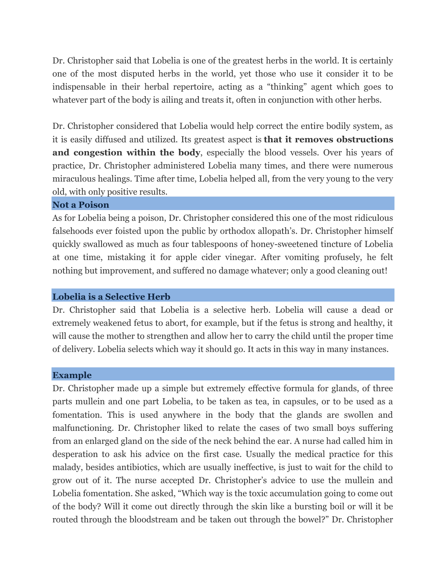Dr. Christopher said that Lobelia is one of the greatest herbs in the world. It is certainly one of the most disputed herbs in the world, yet those who use it consider it to be indispensable in their herbal repertoire, acting as a "thinking" agent which goes to whatever part of the body is ailing and treats it, often in conjunction with other herbs.

Dr. Christopher considered that Lobelia would help correct the entire bodily system, as it is easily diffused and utilized. Its greatest aspect is **that it removes obstructions and congestion within the body**, especially the blood vessels. Over his years of practice, Dr. Christopher administered Lobelia many times, and there were numerous miraculous healings. Time after time, Lobelia helped all, from the very young to the very old, with only positive results.

#### **Not a Poison**

As for Lobelia being a poison, Dr. Christopher considered this one of the most ridiculous falsehoods ever foisted upon the public by orthodox allopath's. Dr. Christopher himself quickly swallowed as much as four tablespoons of honey-sweetened tincture of Lobelia at one time, mistaking it for apple cider vinegar. After vomiting profusely, he felt nothing but improvement, and suffered no damage whatever; only a good cleaning out!

### **Lobelia is a Selective Herb**

Dr. Christopher said that Lobelia is a selective herb. Lobelia will cause a dead or extremely weakened fetus to abort, for example, but if the fetus is strong and healthy, it will cause the mother to strengthen and allow her to carry the child until the proper time of delivery. Lobelia selects which way it should go. It acts in this way in many instances.

#### **Example**

Dr. Christopher made up a simple but extremely effective formula for glands, of three parts mullein and one part Lobelia, to be taken as tea, in capsules, or to be used as a fomentation. This is used anywhere in the body that the glands are swollen and malfunctioning. Dr. Christopher liked to relate the cases of two small boys suffering from an enlarged gland on the side of the neck behind the ear. A nurse had called him in desperation to ask his advice on the first case. Usually the medical practice for this malady, besides antibiotics, which are usually ineffective, is just to wait for the child to grow out of it. The nurse accepted Dr. Christopher's advice to use the mullein and Lobelia fomentation. She asked, "Which way is the toxic accumulation going to come out of the body? Will it come out directly through the skin like a bursting boil or will it be routed through the bloodstream and be taken out through the bowel?" Dr. Christopher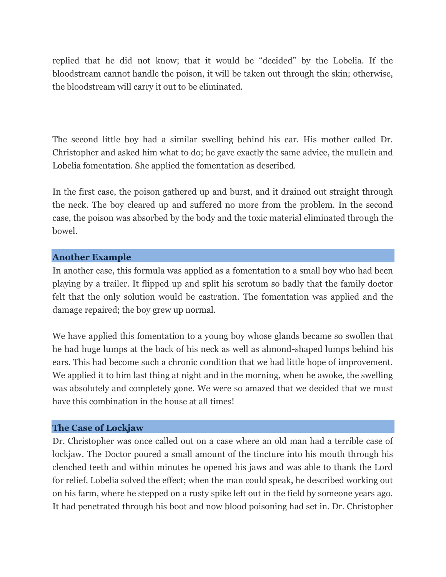replied that he did not know; that it would be "decided" by the Lobelia. If the bloodstream cannot handle the poison, it will be taken out through the skin; otherwise, the bloodstream will carry it out to be eliminated.

The second little boy had a similar swelling behind his ear. His mother called Dr. Christopher and asked him what to do; he gave exactly the same advice, the mullein and Lobelia fomentation. She applied the fomentation as described.

In the first case, the poison gathered up and burst, and it drained out straight through the neck. The boy cleared up and suffered no more from the problem. In the second case, the poison was absorbed by the body and the toxic material eliminated through the bowel.

#### **Another Example**

In another case, this formula was applied as a fomentation to a small boy who had been playing by a trailer. It flipped up and split his scrotum so badly that the family doctor felt that the only solution would be castration. The fomentation was applied and the damage repaired; the boy grew up normal.

We have applied this fomentation to a young boy whose glands became so swollen that he had huge lumps at the back of his neck as well as almond-shaped lumps behind his ears. This had become such a chronic condition that we had little hope of improvement. We applied it to him last thing at night and in the morning, when he awoke, the swelling was absolutely and completely gone. We were so amazed that we decided that we must have this combination in the house at all times!

### **The Case of Lockjaw**

Dr. Christopher was once called out on a case where an old man had a terrible case of lockjaw. The Doctor poured a small amount of the tincture into his mouth through his clenched teeth and within minutes he opened his jaws and was able to thank the Lord for relief. Lobelia solved the effect; when the man could speak, he described working out on his farm, where he stepped on a rusty spike left out in the field by someone years ago. It had penetrated through his boot and now blood poisoning had set in. Dr. Christopher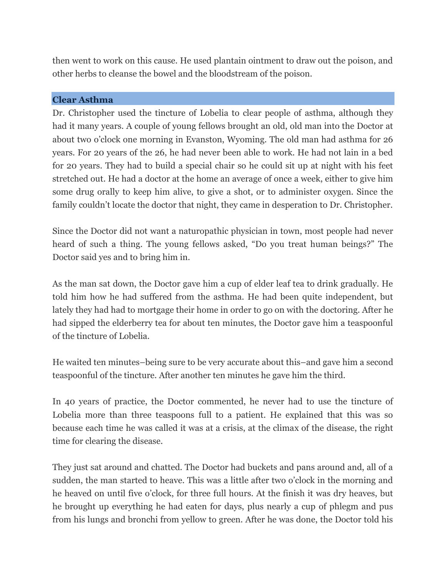then went to work on this cause. He used plantain ointment to draw out the poison, and other herbs to cleanse the bowel and the bloodstream of the poison.

## **Clear Asthma**

Dr. Christopher used the tincture of Lobelia to clear people of asthma, although they had it many years. A couple of young fellows brought an old, old man into the Doctor at about two o'clock one morning in Evanston, Wyoming. The old man had asthma for 26 years. For 20 years of the 26, he had never been able to work. He had not lain in a bed for 20 years. They had to build a special chair so he could sit up at night with his feet stretched out. He had a doctor at the home an average of once a week, either to give him some drug orally to keep him alive, to give a shot, or to administer oxygen. Since the family couldn't locate the doctor that night, they came in desperation to Dr. Christopher.

Since the Doctor did not want a naturopathic physician in town, most people had never heard of such a thing. The young fellows asked, "Do you treat human beings?" The Doctor said yes and to bring him in.

As the man sat down, the Doctor gave him a cup of elder leaf tea to drink gradually. He told him how he had suffered from the asthma. He had been quite independent, but lately they had had to mortgage their home in order to go on with the doctoring. After he had sipped the elderberry tea for about ten minutes, the Doctor gave him a teaspoonful of the tincture of Lobelia.

He waited ten minutes–being sure to be very accurate about this–and gave him a second teaspoonful of the tincture. After another ten minutes he gave him the third.

In 40 years of practice, the Doctor commented, he never had to use the tincture of Lobelia more than three teaspoons full to a patient. He explained that this was so because each time he was called it was at a crisis, at the climax of the disease, the right time for clearing the disease.

They just sat around and chatted. The Doctor had buckets and pans around and, all of a sudden, the man started to heave. This was a little after two o'clock in the morning and he heaved on until five o'clock, for three full hours. At the finish it was dry heaves, but he brought up everything he had eaten for days, plus nearly a cup of phlegm and pus from his lungs and bronchi from yellow to green. After he was done, the Doctor told his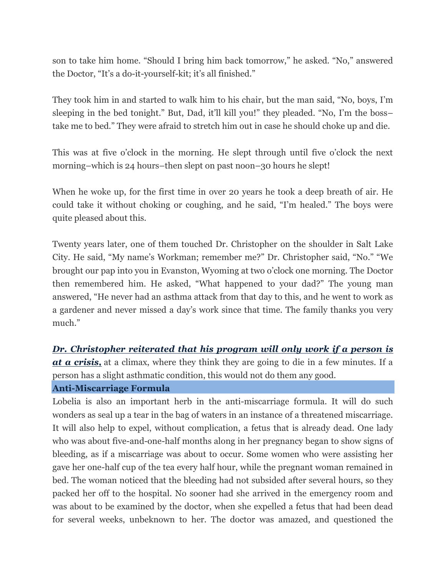son to take him home. "Should I bring him back tomorrow," he asked. "No," answered the Doctor, "It's a do-it-yourself-kit; it's all finished."

They took him in and started to walk him to his chair, but the man said, "No, boys, I'm sleeping in the bed tonight." But, Dad, it'll kill you!" they pleaded. "No, I'm the boss– take me to bed." They were afraid to stretch him out in case he should choke up and die.

This was at five o'clock in the morning. He slept through until five o'clock the next morning–which is 24 hours–then slept on past noon–30 hours he slept!

When he woke up, for the first time in over 20 years he took a deep breath of air. He could take it without choking or coughing, and he said, "I'm healed." The boys were quite pleased about this.

Twenty years later, one of them touched Dr. Christopher on the shoulder in Salt Lake City. He said, "My name's Workman; remember me?" Dr. Christopher said, "No." "We brought our pap into you in Evanston, Wyoming at two o'clock one morning. The Doctor then remembered him. He asked, "What happened to your dad?" The young man answered, "He never had an asthma attack from that day to this, and he went to work as a gardener and never missed a day's work since that time. The family thanks you very much."

*Dr. Christopher reiterated that his program will only work if a person is at a crisis,* at a climax, where they think they are going to die in a few minutes. If a person has a slight asthmatic condition, this would not do them any good.

### **Anti-Miscarriage Formula**

Lobelia is also an important herb in the anti-miscarriage formula. It will do such wonders as seal up a tear in the bag of waters in an instance of a threatened miscarriage. It will also help to expel, without complication, a fetus that is already dead. One lady who was about five-and-one-half months along in her pregnancy began to show signs of bleeding, as if a miscarriage was about to occur. Some women who were assisting her gave her one-half cup of the tea every half hour, while the pregnant woman remained in bed. The woman noticed that the bleeding had not subsided after several hours, so they packed her off to the hospital. No sooner had she arrived in the emergency room and was about to be examined by the doctor, when she expelled a fetus that had been dead for several weeks, unbeknown to her. The doctor was amazed, and questioned the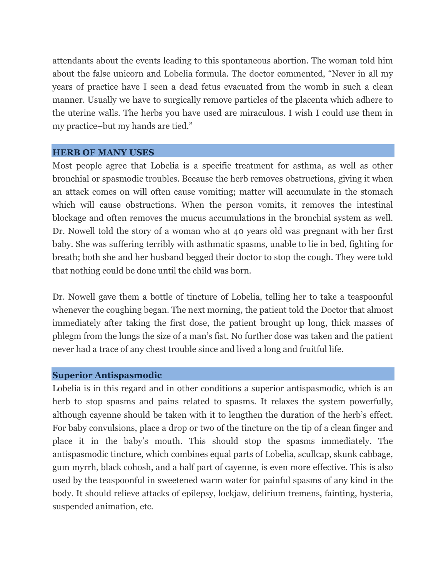attendants about the events leading to this spontaneous abortion. The woman told him about the false unicorn and Lobelia formula. The doctor commented, "Never in all my years of practice have I seen a dead fetus evacuated from the womb in such a clean manner. Usually we have to surgically remove particles of the placenta which adhere to the uterine walls. The herbs you have used are miraculous. I wish I could use them in my practice–but my hands are tied."

#### **HERB OF MANY USES**

Most people agree that Lobelia is a specific treatment for asthma, as well as other bronchial or spasmodic troubles. Because the herb removes obstructions, giving it when an attack comes on will often cause vomiting; matter will accumulate in the stomach which will cause obstructions. When the person vomits, it removes the intestinal blockage and often removes the mucus accumulations in the bronchial system as well. Dr. Nowell told the story of a woman who at 40 years old was pregnant with her first baby. She was suffering terribly with asthmatic spasms, unable to lie in bed, fighting for breath; both she and her husband begged their doctor to stop the cough. They were told that nothing could be done until the child was born.

Dr. Nowell gave them a bottle of tincture of Lobelia, telling her to take a teaspoonful whenever the coughing began. The next morning, the patient told the Doctor that almost immediately after taking the first dose, the patient brought up long, thick masses of phlegm from the lungs the size of a man's fist. No further dose was taken and the patient never had a trace of any chest trouble since and lived a long and fruitful life.

### **Superior Antispasmodic**

Lobelia is in this regard and in other conditions a superior antispasmodic, which is an herb to stop spasms and pains related to spasms. It relaxes the system powerfully, although cayenne should be taken with it to lengthen the duration of the herb's effect. For baby convulsions, place a drop or two of the tincture on the tip of a clean finger and place it in the baby's mouth. This should stop the spasms immediately. The antispasmodic tincture, which combines equal parts of Lobelia, scullcap, skunk cabbage, gum myrrh, black cohosh, and a half part of cayenne, is even more effective. This is also used by the teaspoonful in sweetened warm water for painful spasms of any kind in the body. It should relieve attacks of epilepsy, lockjaw, delirium tremens, fainting, hysteria, suspended animation, etc.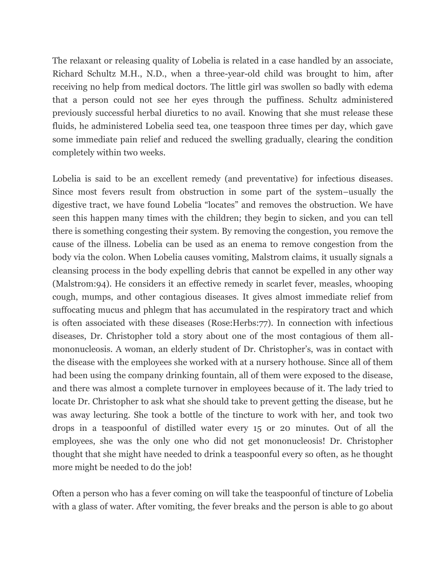The relaxant or releasing quality of Lobelia is related in a case handled by an associate, Richard Schultz M.H., N.D., when a three-year-old child was brought to him, after receiving no help from medical doctors. The little girl was swollen so badly with edema that a person could not see her eyes through the puffiness. Schultz administered previously successful herbal diuretics to no avail. Knowing that she must release these fluids, he administered Lobelia seed tea, one teaspoon three times per day, which gave some immediate pain relief and reduced the swelling gradually, clearing the condition completely within two weeks.

Lobelia is said to be an excellent remedy (and preventative) for infectious diseases. Since most fevers result from obstruction in some part of the system–usually the digestive tract, we have found Lobelia "locates" and removes the obstruction. We have seen this happen many times with the children; they begin to sicken, and you can tell there is something congesting their system. By removing the congestion, you remove the cause of the illness. Lobelia can be used as an enema to remove congestion from the body via the colon. When Lobelia causes vomiting, Malstrom claims, it usually signals a cleansing process in the body expelling debris that cannot be expelled in any other way (Malstrom:94). He considers it an effective remedy in scarlet fever, measles, whooping cough, mumps, and other contagious diseases. It gives almost immediate relief from suffocating mucus and phlegm that has accumulated in the respiratory tract and which is often associated with these diseases (Rose:Herbs:77). In connection with infectious diseases, Dr. Christopher told a story about one of the most contagious of them allmononucleosis. A woman, an elderly student of Dr. Christopher's, was in contact with the disease with the employees she worked with at a nursery hothouse. Since all of them had been using the company drinking fountain, all of them were exposed to the disease, and there was almost a complete turnover in employees because of it. The lady tried to locate Dr. Christopher to ask what she should take to prevent getting the disease, but he was away lecturing. She took a bottle of the tincture to work with her, and took two drops in a teaspoonful of distilled water every 15 or 20 minutes. Out of all the employees, she was the only one who did not get mononucleosis! Dr. Christopher thought that she might have needed to drink a teaspoonful every so often, as he thought more might be needed to do the job!

Often a person who has a fever coming on will take the teaspoonful of tincture of Lobelia with a glass of water. After vomiting, the fever breaks and the person is able to go about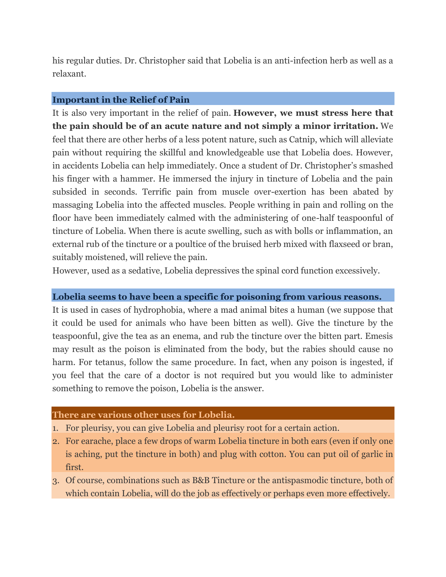his regular duties. Dr. Christopher said that Lobelia is an anti-infection herb as well as a relaxant.

## **Important in the Relief of Pain**

It is also very important in the relief of pain. **However, we must stress here that the pain should be of an acute nature and not simply a minor irritation.** We feel that there are other herbs of a less potent nature, such as Catnip, which will alleviate pain without requiring the skillful and knowledgeable use that Lobelia does. However, in accidents Lobelia can help immediately. Once a student of Dr. Christopher's smashed his finger with a hammer. He immersed the injury in tincture of Lobelia and the pain subsided in seconds. Terrific pain from muscle over-exertion has been abated by massaging Lobelia into the affected muscles. People writhing in pain and rolling on the floor have been immediately calmed with the administering of one-half teaspoonful of tincture of Lobelia. When there is acute swelling, such as with bolls or inflammation, an external rub of the tincture or a poultice of the bruised herb mixed with flaxseed or bran, suitably moistened, will relieve the pain.

However, used as a sedative, Lobelia depressives the spinal cord function excessively.

# **Lobelia seems to have been a specific for poisoning from various reasons.**

It is used in cases of hydrophobia, where a mad animal bites a human (we suppose that it could be used for animals who have been bitten as well). Give the tincture by the teaspoonful, give the tea as an enema, and rub the tincture over the bitten part. Emesis may result as the poison is eliminated from the body, but the rabies should cause no harm. For tetanus, follow the same procedure. In fact, when any poison is ingested, if you feel that the care of a doctor is not required but you would like to administer something to remove the poison, Lobelia is the answer.

### **There are various other uses for Lobelia.**

- 1. For pleurisy, you can give Lobelia and pleurisy root for a certain action.
- 2. For earache, place a few drops of warm Lobelia tincture in both ears (even if only one is aching, put the tincture in both) and plug with cotton. You can put oil of garlic in first.
- 3. Of course, combinations such as B&B Tincture or the antispasmodic tincture, both of which contain Lobelia, will do the job as effectively or perhaps even more effectively.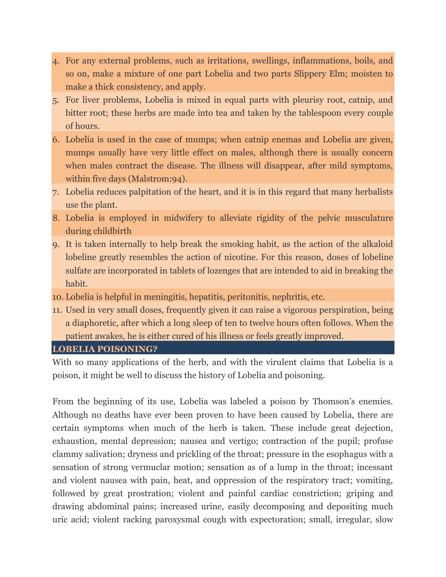- 4. For any external problems, such as irritations, swellings, inflammations, boils, and so on, make a mixture of one part Lobelia and two parts Slippery Elm; moisten to make a thick consistency, and apply.
- 5. For liver problems, Lobelia is mixed in equal parts with pleurisy root, catnip, and bitter root; these herbs are made into tea and taken by the tablespoon every couple of hours.
- 6. Lobelia is used in the case of mumps; when catnip enemas and Lobelia are given, mumps usually have very little effect on males, although there is usually concern when males contract the disease. The illness will disappear, after mild symptoms, within five days (Malstrom:94).
- 7. Lobelia reduces palpitation of the heart, and it is in this regard that many herbalists use the plant.
- 8. Lobelia is employed in midwifery to alleviate rigidity of the pelvic musculature during childbirth
- 9. It is taken internally to help break the smoking habit, as the action of the alkaloid lobeline greatly resembles the action of nicotine. For this reason, doses of lobeline sulfate are incorporated in tablets of lozenges that are intended to aid in breaking the habit.
- 10. Lobelia is helpful in meningitis, hepatitis, peritonitis, nephritis, etc.
- 11. Used in very small doses, frequently given it can raise a vigorous perspiration, being a diaphoretic, after which a long sleep of ten to twelve hours often follows. When the patient awakes, he is either cured of his illness or feels greatly improved.
- **LOBELIA POISONING?**

With so many applications of the herb, and with the virulent claims that Lobelia is a poison, it might be well to discuss the history of Lobelia and poisoning.

From the beginning of its use, Lobelia was labeled a poison by Thomson's enemies. Although no deaths have ever been proven to have been caused by Lobelia, there are certain symptoms when much of the herb is taken. These include great dejection, exhaustion, mental depression; nausea and vertigo; contraction of the pupil; profuse clammy salivation; dryness and prickling of the throat; pressure in the esophagus with a sensation of strong vermuclar motion; sensation as of a lump in the throat; incessant and violent nausea with pain, heat, and oppression of the respiratory tract; vomiting, followed by great prostration; violent and painful cardiac constriction; griping and drawing abdominal pains; increased urine, easily decomposing and depositing much uric acid; violent racking paroxysmal cough with expectoration; small, irregular, slow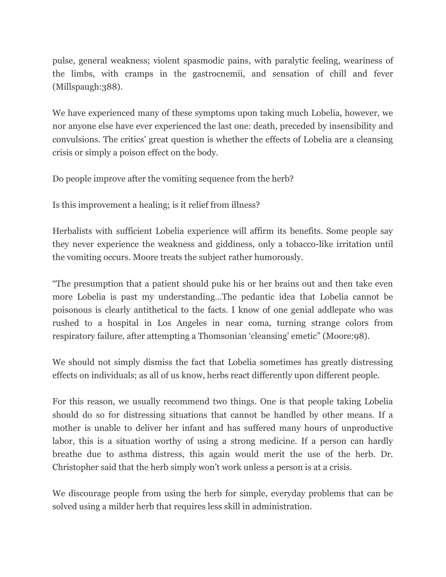pulse, general weakness; violent spasmodic pains, with paralytic feeling, weariness of the limbs, with cramps in the gastrocnemii, and sensation of chill and fever (Millspaugh:388).

We have experienced many of these symptoms upon taking much Lobelia, however, we nor anyone else have ever experienced the last one: death, preceded by insensibility and convulsions. The critics' great question is whether the effects of Lobelia are a cleansing crisis or simply a poison effect on the body.

Do people improve after the vomiting sequence from the herb?

Is this improvement a healing; is it relief from illness?

Herbalists with sufficient Lobelia experience will affirm its benefits. Some people say they never experience the weakness and giddiness, only a tobacco-like irritation until the vomiting occurs. Moore treats the subject rather humorously.

"The presumption that a patient should puke his or her brains out and then take even more Lobelia is past my understanding…The pedantic idea that Lobelia cannot be poisonous is clearly antithetical to the facts. I know of one genial addlepate who was rushed to a hospital in Los Angeles in near coma, turning strange colors from respiratory failure, after attempting a Thomsonian 'cleansing' emetic" (Moore:98).

We should not simply dismiss the fact that Lobelia sometimes has greatly distressing effects on individuals; as all of us know, herbs react differently upon different people.

For this reason, we usually recommend two things. One is that people taking Lobelia should do so for distressing situations that cannot be handled by other means. If a mother is unable to deliver her infant and has suffered many hours of unproductive labor, this is a situation worthy of using a strong medicine. If a person can hardly breathe due to asthma distress, this again would merit the use of the herb. Dr. Christopher said that the herb simply won't work unless a person is at a crisis.

We discourage people from using the herb for simple, everyday problems that can be solved using a milder herb that requires less skill in administration.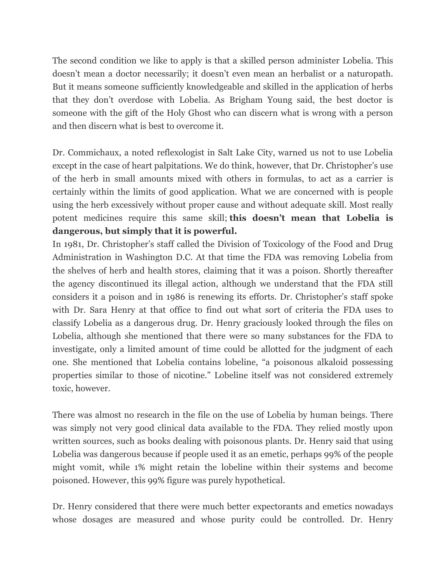The second condition we like to apply is that a skilled person administer Lobelia. This doesn't mean a doctor necessarily; it doesn't even mean an herbalist or a naturopath. But it means someone sufficiently knowledgeable and skilled in the application of herbs that they don't overdose with Lobelia. As Brigham Young said, the best doctor is someone with the gift of the Holy Ghost who can discern what is wrong with a person and then discern what is best to overcome it.

Dr. Commichaux, a noted reflexologist in Salt Lake City, warned us not to use Lobelia except in the case of heart palpitations. We do think, however, that Dr. Christopher's use of the herb in small amounts mixed with others in formulas, to act as a carrier is certainly within the limits of good application. What we are concerned with is people using the herb excessively without proper cause and without adequate skill. Most really potent medicines require this same skill; **this doesn't mean that Lobelia is dangerous, but simply that it is powerful.**

In 1981, Dr. Christopher's staff called the Division of Toxicology of the Food and Drug Administration in Washington D.C. At that time the FDA was removing Lobelia from the shelves of herb and health stores, claiming that it was a poison. Shortly thereafter the agency discontinued its illegal action, although we understand that the FDA still considers it a poison and in 1986 is renewing its efforts. Dr. Christopher's staff spoke with Dr. Sara Henry at that office to find out what sort of criteria the FDA uses to classify Lobelia as a dangerous drug. Dr. Henry graciously looked through the files on Lobelia, although she mentioned that there were so many substances for the FDA to investigate, only a limited amount of time could be allotted for the judgment of each one. She mentioned that Lobelia contains lobeline, "a poisonous alkaloid possessing properties similar to those of nicotine." Lobeline itself was not considered extremely toxic, however.

There was almost no research in the file on the use of Lobelia by human beings. There was simply not very good clinical data available to the FDA. They relied mostly upon written sources, such as books dealing with poisonous plants. Dr. Henry said that using Lobelia was dangerous because if people used it as an emetic, perhaps 99% of the people might vomit, while 1% might retain the lobeline within their systems and become poisoned. However, this 99% figure was purely hypothetical.

Dr. Henry considered that there were much better expectorants and emetics nowadays whose dosages are measured and whose purity could be controlled. Dr. Henry